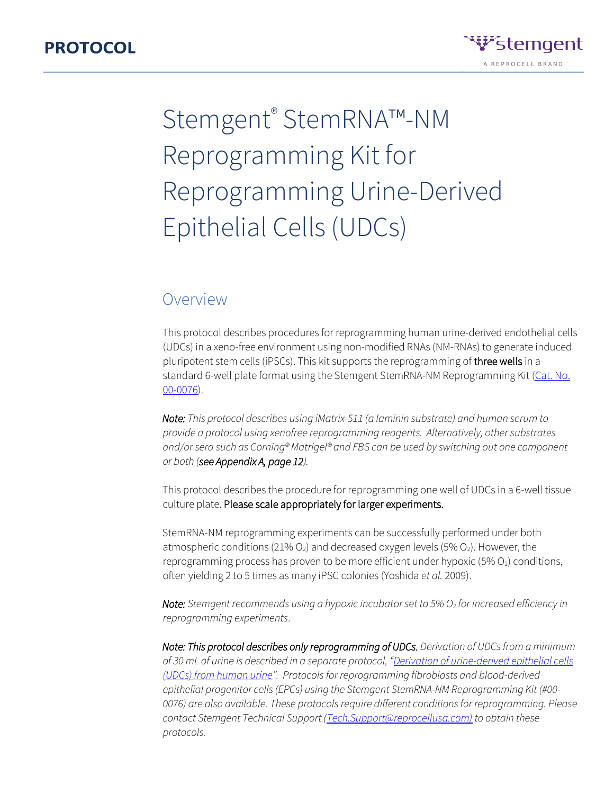

## Overview

This protocol describes procedures for reprogramming human urine-derived endothelial cells (UDCs) in a xeno-free environment using non-modified RNAs (NM-RNAs) to generate induced pluripotent stem cells (iPSCs). This kit supports the reprogramming of three wells in a standard 6-well plate format using the Stemgent StemRNA-NM Reprogramming Kit (Cat. No. [00-0076\).](https://www.stemgent.com/products/show/323)

*Note: This protocol describes using iMatrix-511 (a laminin substrate) and human serum to provide a protocol using xenofree reprogramming reagents. Alternatively, other substrates and/or sera such as Corning® Matrigel® and FBS can be used by switching out one component or both (see Appendix A, page 12).*

This protocol describes the procedure for reprogramming one well of UDCs in a 6-well tissue culture plate. Please scale appropriately for larger experiments.

StemRNA-NM reprogramming experiments can be successfully performed under both atmospheric conditions (21%  $O_2$ ) and decreased oxygen levels (5%  $O_2$ ). However, the reprogramming process has proven to be more efficient under hypoxic  $(5\% O<sub>2</sub>)$  conditions, often yielding 2 to 5 times as many iPSC colonies (Yoshida *et al.* 2009).

*Note: Stemgent recommends using a hypoxic incubator set to 5% O<sup>2</sup> for increased efficiency in reprogramming experiments*.

*Note: This protocol describes only reprogramming of UDCs. Derivation of UDCs from a minimum of 30 mL of urine is described in a separate protocol, ["](https://assets.stemgent.com/files/1805/original/Protocoll-UDC-Derivation_V1.pdf)[Derivation of urine-derived epithelial cells](https://assets.stemgent.com/files/1805/original/Protocoll-UDC-Derivation_V1.pdf)  [\(UDCs\) from human urine](https://assets.stemgent.com/files/1805/original/Protocoll-UDC-Derivation_V1.pdf)["](https://assets.stemgent.com/files/1805/original/Protocoll-UDC-Derivation_V1.pdf). Protocols for reprogramming fibroblasts and blood-derived epithelial progenitor cells (EPCs) using the Stemgent StemRNA-NM Reprogramming Kit (#00- 0076) are also available. These protocols require different conditions for reprogramming. Please contact Stemgent Technical Support (Tech.Support@reprocellusa.com) to obtain these protocols.*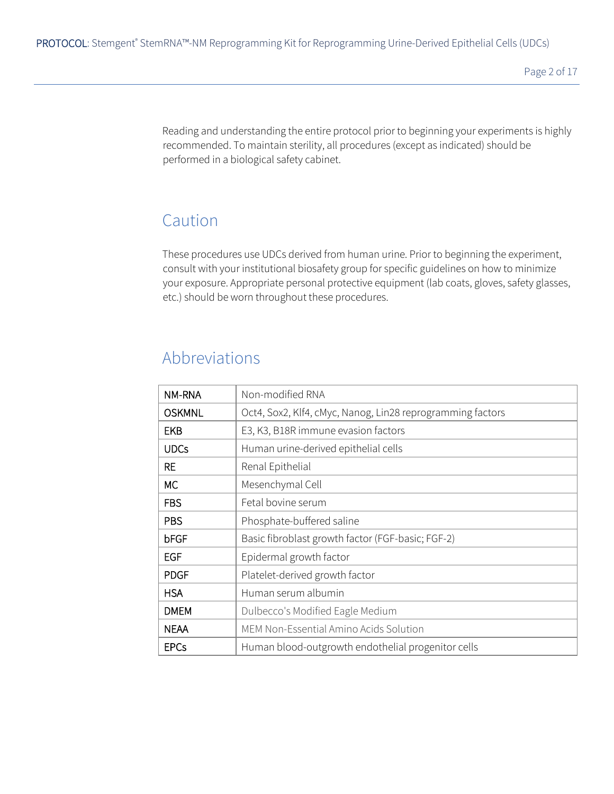Reading and understanding the entire protocol prior to beginning your experiments is highly recommended. To maintain sterility, all procedures (except as indicated) should be performed in a biological safety cabinet.

# Caution

These procedures use UDCs derived from human urine. Prior to beginning the experiment, consult with your institutional biosafety group for specific guidelines on how to minimize your exposure. Appropriate personal protective equipment (lab coats, gloves, safety glasses, etc.) should be worn throughout these procedures.

# Abbreviations

| NM-RNA        | Non-modified RNA                                           |
|---------------|------------------------------------------------------------|
| <b>OSKMNL</b> | Oct4, Sox2, Klf4, cMyc, Nanog, Lin28 reprogramming factors |
| <b>EKB</b>    | E3, K3, B18R immune evasion factors                        |
| <b>UDCs</b>   | Human urine-derived epithelial cells                       |
| RE.           | Renal Epithelial                                           |
| МC            | Mesenchymal Cell                                           |
| <b>FBS</b>    | Fetal bovine serum                                         |
| <b>PBS</b>    | Phosphate-buffered saline                                  |
| bFGF          | Basic fibroblast growth factor (FGF-basic; FGF-2)          |
| EGF           | Epidermal growth factor                                    |
| <b>PDGF</b>   | Platelet-derived growth factor                             |
| <b>HSA</b>    | Human serum albumin                                        |
| <b>DMEM</b>   | Dulbecco's Modified Eagle Medium                           |
| <b>NEAA</b>   | MEM Non-Essential Amino Acids Solution                     |
| <b>EPCs</b>   | Human blood-outgrowth endothelial progenitor cells         |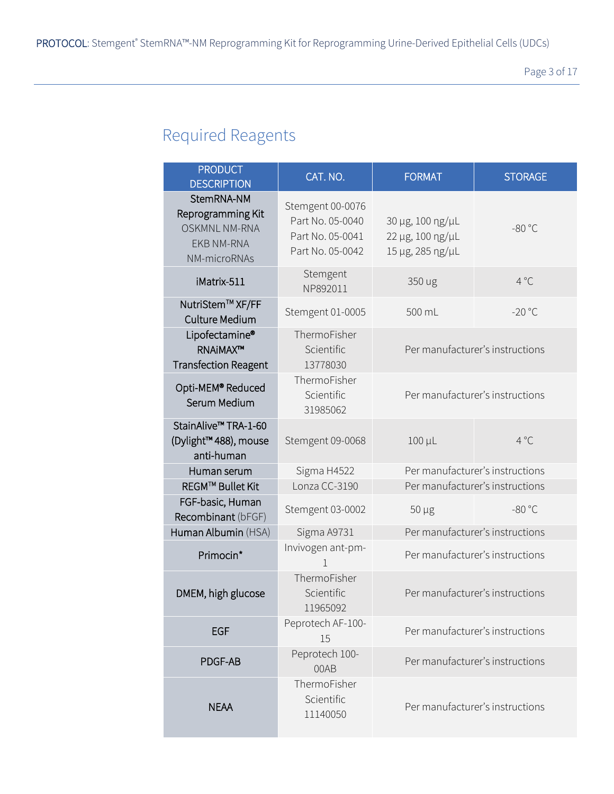# Required Reagents

| <b>PRODUCT</b><br><b>DESCRIPTION</b>                                                         | CAT. NO.                                                                     | <b>FORMAT</b>                                            | <b>STORAGE</b>                  |  |
|----------------------------------------------------------------------------------------------|------------------------------------------------------------------------------|----------------------------------------------------------|---------------------------------|--|
| StemRNA-NM<br>Reprogramming Kit<br><b>OSKMNL NM-RNA</b><br><b>EKB NM-RNA</b><br>NM-microRNAs | Stemgent 00-0076<br>Part No. 05-0040<br>Part No. 05-0041<br>Part No. 05-0042 | 30 µg, 100 ng/µL<br>22 µg, 100 ng/µL<br>15 µg, 285 ng/µL | $-80 °C$                        |  |
| iMatrix-511                                                                                  | Stemgent<br>NP892011                                                         | 350 ug                                                   | $4^{\circ}C$                    |  |
| NutriStem™ XF/FF<br>Culture Medium                                                           | Stemgent 01-0005                                                             | 500 mL                                                   | $-20 °C$                        |  |
| Lipofectamine®<br><b>RNAiMAX™</b><br><b>Transfection Reagent</b>                             | ThermoFisher<br>Scientific<br>Per manufacturer's instructions<br>13778030    |                                                          |                                 |  |
| Opti-MEM® Reduced<br>Serum Medium                                                            | ThermoFisher<br>Scientific<br>31985062                                       |                                                          | Per manufacturer's instructions |  |
| StainAlive™ TRA-1-60<br>(Dylight™ 488), mouse<br>anti-human                                  | Stemgent 09-0068                                                             | $100 \mu L$                                              | $4^{\circ}C$                    |  |
| Human serum                                                                                  | Sigma H4522                                                                  |                                                          | Per manufacturer's instructions |  |
| REGM™ Bullet Kit                                                                             | Lonza CC-3190                                                                |                                                          | Per manufacturer's instructions |  |
| FGF-basic, Human<br>Recombinant (bFGF)                                                       | Stemgent 03-0002                                                             | $50 \mu g$                                               | $-80 °C$                        |  |
| Human Albumin (HSA)                                                                          | Sigma A9731                                                                  |                                                          | Per manufacturer's instructions |  |
| Primocin*                                                                                    | Invivogen ant-pm-                                                            |                                                          | Per manufacturer's instructions |  |
| DMEM, high glucose                                                                           | ThermoFisher<br>Scientific<br>11965092                                       | Per manufacturer's instructions                          |                                 |  |
| <b>EGF</b>                                                                                   | Peprotech AF-100-<br>15                                                      |                                                          | Per manufacturer's instructions |  |
| PDGF-AB                                                                                      | Peprotech 100-<br>00AB                                                       |                                                          | Per manufacturer's instructions |  |
| <b>NEAA</b>                                                                                  | ThermoFisher<br>Scientific<br>11140050                                       | Per manufacturer's instructions                          |                                 |  |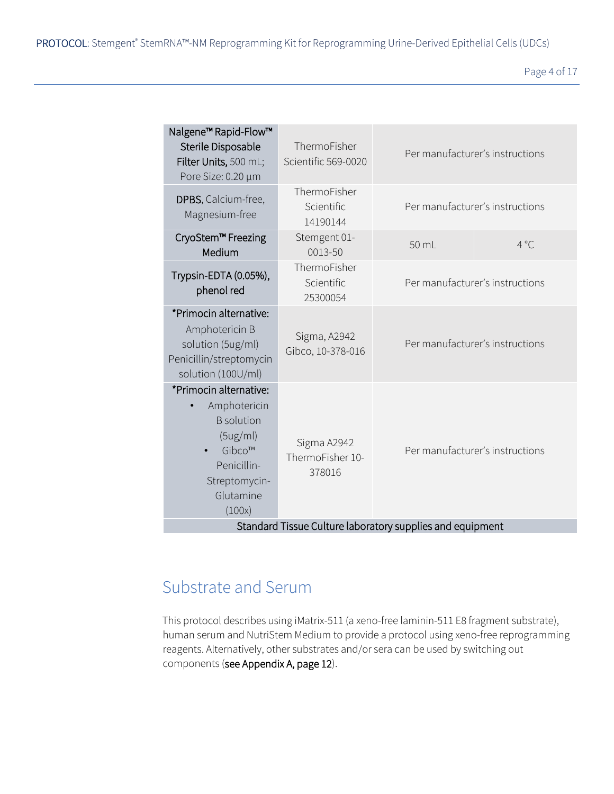Page 4 of 17

| Nalgene <sup>™</sup> Rapid-Flow™<br>Sterile Disposable<br>Filter Units, 500 mL;<br>Pore Size: 0.20 µm                                                                                 | ThermoFisher<br>Scientific 569-0020    | Per manufacturer's instructions |                                 |
|---------------------------------------------------------------------------------------------------------------------------------------------------------------------------------------|----------------------------------------|---------------------------------|---------------------------------|
| DPBS, Calcium-free,<br>Magnesium-free                                                                                                                                                 | ThermoFisher<br>Scientific<br>14190144 | Per manufacturer's instructions |                                 |
| CryoStem™ Freezing<br>Medium                                                                                                                                                          | Stemgent 01-<br>0013-50                | 50 mL                           | $4^{\circ}$ C                   |
| Trypsin-EDTA (0.05%),<br>phenol red                                                                                                                                                   | ThermoFisher<br>Scientific<br>25300054 | Per manufacturer's instructions |                                 |
| *Primocin alternative:<br>Amphotericin B<br>solution (5ug/ml)<br>Penicillin/streptomycin<br>solution (100U/ml)                                                                        | Sigma, A2942<br>Gibco, 10-378-016      | Per manufacturer's instructions |                                 |
| *Primocin alternative:<br>Amphotericin<br><b>B</b> solution<br>(5ug/ml)<br>Sigma A2942<br>Gibco™<br>ThermoFisher 10-<br>Penicillin-<br>378016<br>Streptomycin-<br>Glutamine<br>(100x) |                                        |                                 | Per manufacturer's instructions |
| Standard Tissue Culture laboratory supplies and equipment                                                                                                                             |                                        |                                 |                                 |

# Substrate and Serum

This protocol describes using iMatrix-511 (a xeno-free laminin-511 E8 fragment substrate), human serum and NutriStem Medium to provide a protocol using xeno-free reprogramming reagents. Alternatively, other substrates and/or sera can be used by switching out components (see Appendix A, page 12).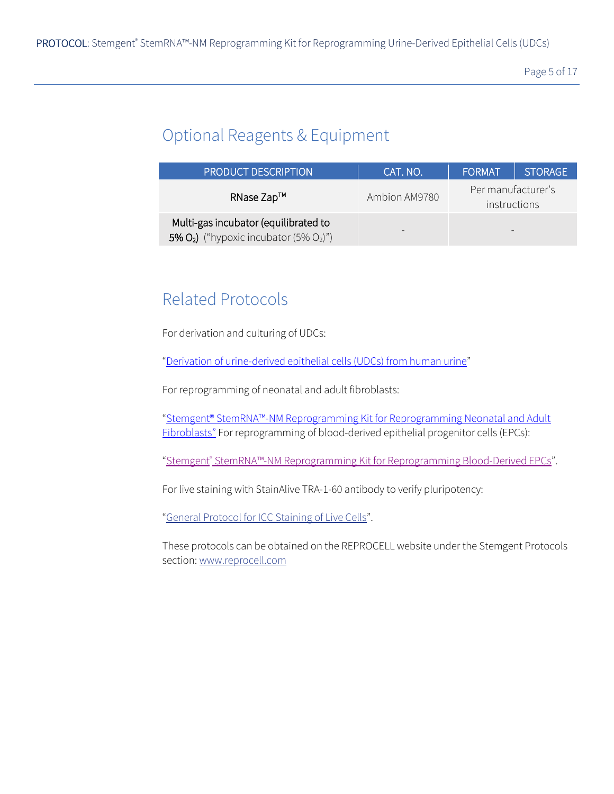# Optional Reagents & Equipment

| <b>PRODUCT DESCRIPTION</b>                                                           | CAT. NO.      | <b>FORMAT</b>                      | I STORAGE <sup>1</sup> |
|--------------------------------------------------------------------------------------|---------------|------------------------------------|------------------------|
| RNase Zap™                                                                           | Ambion AM9780 | Per manufacturer's<br>instructions |                        |
| Multi-gas incubator (equilibrated to<br>5% $O_2$ ) ("hypoxic incubator (5% $O_2$ )") |               |                                    |                        |

# Related Protocols

For derivation and culturing of UDCs:

["](https://assets.stemgent.com/files/1805/original/Protocoll-UDC-Derivation_V1.pdf)[Derivation of urine-d](https://assets.stemgent.com/files/1805/original/Protocoll-UDC-Derivation_V1.pdf)erived epithelial cells (UDCs) from human urine["](https://assets.stemgent.com/files/1805/original/Protocoll-UDC-Derivation_V1.pdf)

For reprogramming of neonatal and adult fibroblasts:

["Stemgent® StemRNA™](http://assets.stemgent.com/files/1796/original/Protocol-%20Fibroblast%20Reprogramming%20with%20StemRNA-NM%20kit-V1_15.pdf)[-N](http://assets.stemgent.com/files/1796/original/Protocol-%20Fibroblast%20Reprogramming%20with%20StemRNA-NM%20kit-V1_15.pdf)M Reprogramming Kit for Reprogramming Neonatal and Adult Fibroblasts["](http://assets.stemgent.com/files/1796/original/Protocol-%20Fibroblast%20Reprogramming%20with%20StemRNA-NM%20kit-V1_15.pdf) For reprogramming of blood-derived epithelial progenitor cells (EPCs):

["](https://assets.stemgent.com/files/1807/original/Protocol-%20EPCs%20Reprogramming%20with%20StemRNA-NM%20kit-V1.pdf)S[t](https://assets.stemgent.com/files/1807/original/Protocol-%20EPCs%20Reprogramming%20with%20StemRNA-NM%20kit-V1.pdf)emgent<sup>®</sup> [S](https://assets.stemgent.com/files/1807/original/Protocol-%20EPCs%20Reprogramming%20with%20StemRNA-NM%20kit-V1.pdf)temRNA[™](https://assets.stemgent.com/files/1807/original/Protocol-%20EPCs%20Reprogramming%20with%20StemRNA-NM%20kit-V1.pdf)[-NM](https://assets.stemgent.com/files/1807/original/Protocol-%20EPCs%20Reprogramming%20with%20StemRNA-NM%20kit-V1.pdf) [Reprogramming Kit](https://assets.stemgent.com/files/1807/original/Protocol-%20EPCs%20Reprogramming%20with%20StemRNA-NM%20kit-V1.pdf) [for Reprogramming Blood-Derived EPCs](https://assets.stemgent.com/files/1807/original/Protocol-%20EPCs%20Reprogramming%20with%20StemRNA-NM%20kit-V1.pdf)".

For live staining with StainAlive TRA-1-60 antibody to verify pluripotency:

["](http://assets.stemgent.com/files/514/original/GP_ICCLive_V1.pdf)General Protocol for ICC Staining of Live Cells["](http://assets.stemgent.com/files/514/original/GP_ICCLive_V1.pdf).

These protocols can be obtained on the REPROCELL website under the Stemgent Protocols section: www.reprocell.com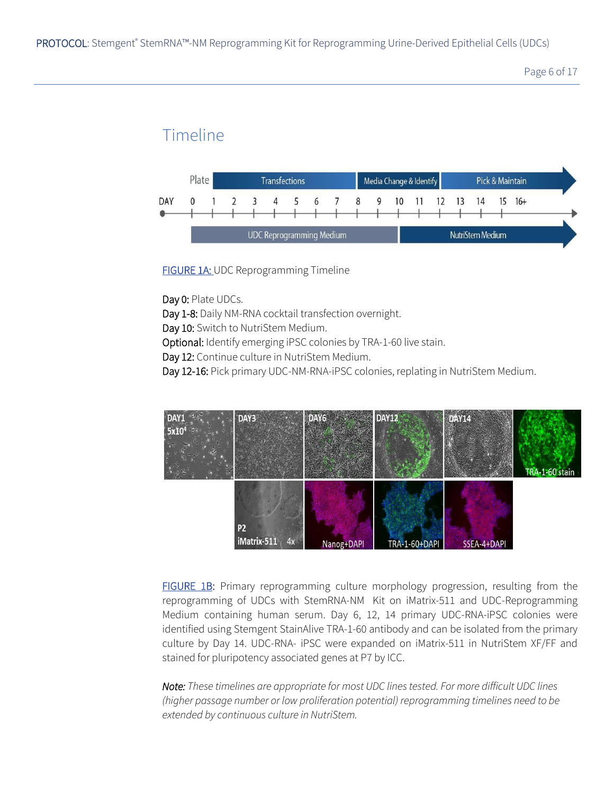# Timeline



**FIGURE 1A: UDC Reprogramming Timeline** 

Day 0: Plate UDCs.

Day 1-8: Daily NM-RNA cocktail transfection overnight.

Day 10: Switch to NutriStem Medium.

Optional: Identify emerging iPSC colonies by TRA-1-60 live stain.

Day 12: Continue culture in NutriStem Medium.

Day 12-16: Pick primary UDC-NM-RNA-iPSC colonies, replating in NutriStem Medium.



FIGURE 1B: Primary reprogramming culture morphology progression, resulting from the reprogramming of UDCs with StemRNA-NM Kit on iMatrix-511 and UDC-Reprogramming Medium containing human serum. Day 6, 12, 14 primary UDC-RNA-iPSC colonies were identified using Stemgent StainAlive TRA-1-60 antibody and can be isolated from the primary culture by Day 14. UDC-RNA- iPSC were expanded on iMatrix-511 in NutriStem XF/FF and stained for pluripotency associated genes at P7 by ICC.

*Note: These timelines are appropriate for most UDC lines tested. For more difficult UDC lines (higher passage number or low proliferation potential) reprogramming timelines need to be extended by continuous culture in NutriStem.*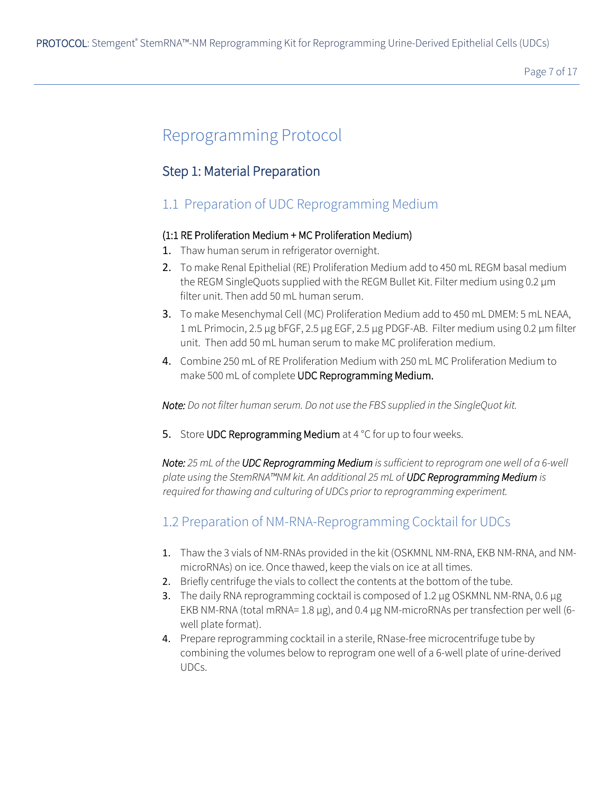# Reprogramming Protocol

#### Step 1: Material Preparation

### 1.1 Preparation of UDC Reprogramming Medium

#### (1:1 RE Proliferation Medium + MC Proliferation Medium)

- 1. Thaw human serum in refrigerator overnight.
- 2. To make Renal Epithelial (RE) Proliferation Medium add to 450 mL REGM basal medium the REGM SingleQuots supplied with the REGM Bullet Kit. Filter medium using 0.2 µm filter unit. Then add 50 mL human serum.
- 3. To make Mesenchymal Cell (MC) Proliferation Medium add to 450 mL DMEM: 5 mL NEAA, 1 mL Primocin, 2.5 µg bFGF, 2.5 µg EGF, 2.5 µg PDGF-AB. Filter medium using 0.2 µm filter unit. Then add 50 mL human serum to make MC proliferation medium.
- 4. Combine 250 mL of RE Proliferation Medium with 250 mL MC Proliferation Medium to make 500 mL of complete UDC Reprogramming Medium.

*Note: Do not filter human serum. Do not use the FBS supplied in the SingleQuot kit.*

5. Store UDC Reprogramming Medium at 4 °C for up to four weeks.

*Note: 25 mL of the UDC Reprogramming Medium is sufficient to reprogram one well of a 6-well plate using the StemRNA™NM kit. An additional 25 mL of UDC Reprogramming Medium is required for thawing and culturing of UDCs prior to reprogramming experiment.*

### 1.2 Preparation of NM-RNA-Reprogramming Cocktail for UDCs

- 1. Thaw the 3 vials of NM-RNAs provided in the kit (OSKMNL NM-RNA, EKB NM-RNA, and NMmicroRNAs) on ice. Once thawed, keep the vials on ice at all times.
- 2. Briefly centrifuge the vials to collect the contents at the bottom of the tube.
- 3. The daily RNA reprogramming cocktail is composed of 1.2 µg OSKMNL NM-RNA, 0.6 μg EKB NM-RNA (total mRNA=  $1.8 \mu$ g), and 0.4 μg NM-microRNAs per transfection per well (6well plate format).
- 4. Prepare reprogramming cocktail in a sterile, RNase-free microcentrifuge tube by combining the volumes below to reprogram one well of a 6-well plate of urine-derived UDCs.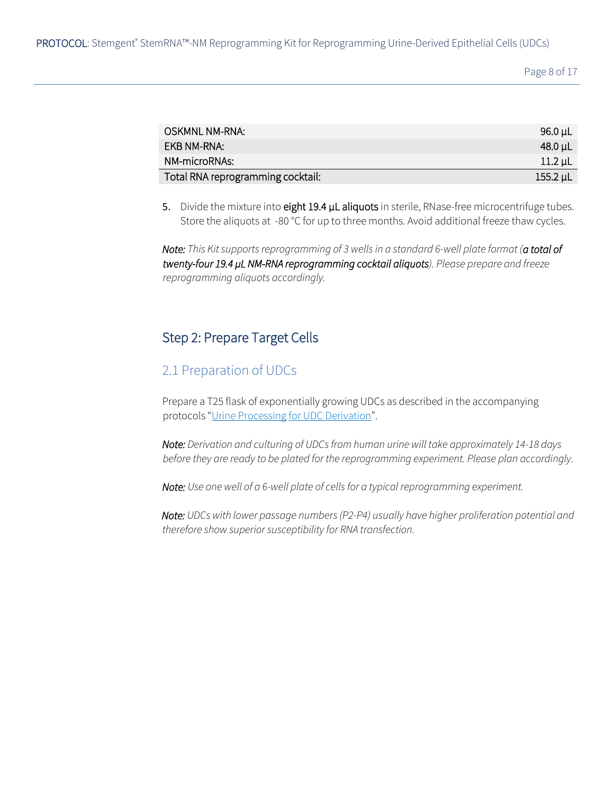Page 8 of 17

| OSKMNL NM-RNA:                    | .96.0 µL      |
|-----------------------------------|---------------|
| EKB NM-RNA:                       | $-48.0 \mu L$ |
| NM-microRNAs:                     | $11.2 \mu$ L  |
| Total RNA reprogramming cocktail: | $155.2 \mu L$ |

5. Divide the mixture into eight 19.4 µL aliquots in sterile, RNase-free microcentrifuge tubes. Store the aliquots at -80 °C for up to three months. Avoid additional freeze thaw cycles.

*Note: This Kit supports reprogramming of 3 wells in a standard 6-well plate format (a total of twenty-four 19.4 µL NM-RNA reprogramming cocktail aliquots). Please prepare and freeze reprogramming aliquots accordingly.*

#### Step 2: Prepare Target Cells

#### 2.1 Preparation of UDCs

Prepare a T25 flask of exponentially growing UDCs as described in the accompanying protocols "Urine Processing for UDC Derivation".

*Note: Derivation and culturing of UDCs from human urine will take approximately 14-18 days before they are ready to be plated for the reprogramming experiment. Please plan accordingly.* 

*Note: Use one well of a 6-well plate of cells for a typical reprogramming experiment.* 

*Note: UDCs with lower passage numbers (P2-P4) usually have higher proliferation potential and therefore show superior susceptibility for RNA transfection.*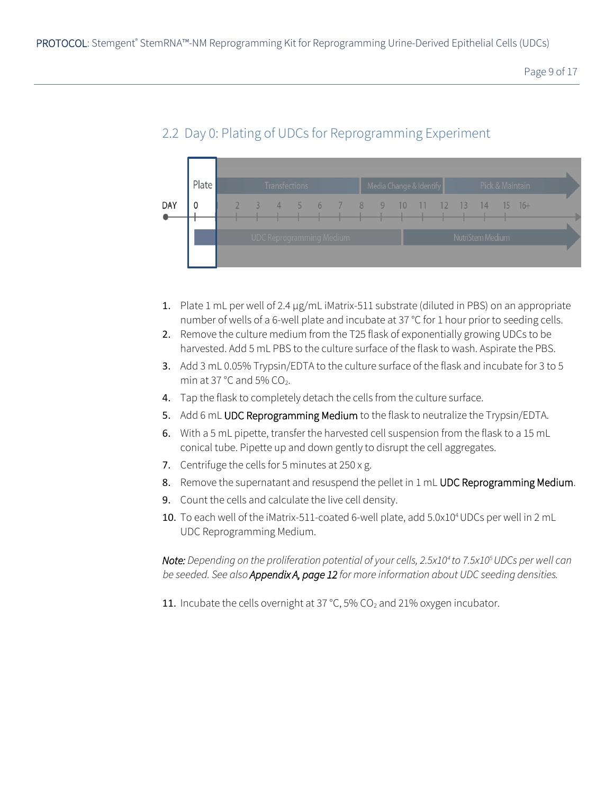

### 2.2 Day 0: Plating of UDCs for Reprogramming Experiment

- 1. Plate 1 mL per well of 2.4 µg/mL iMatrix-511 substrate (diluted in PBS) on an appropriate number of wells of a 6-well plate and incubate at 37 °C for 1 hour prior to seeding cells.
- 2. Remove the culture medium from the T25 flask of exponentially growing UDCs to be harvested. Add 5 mL PBS to the culture surface of the flask to wash. Aspirate the PBS.
- 3. Add 3 mL 0.05% Trypsin/EDTA to the culture surface of the flask and incubate for 3 to 5 min at 37  $^{\circ}$ C and 5% CO<sub>2</sub>.
- 4. Tap the flask to completely detach the cells from the culture surface.
- 5. Add 6 mL UDC Reprogramming Medium to the flask to neutralize the Trypsin/EDTA.
- 6. With a 5 mL pipette, transfer the harvested cell suspension from the flask to a 15 mL conical tube. Pipette up and down gently to disrupt the cell aggregates.
- 7. Centrifuge the cells for 5 minutes at  $250 \times g$ .
- 8. Remove the supernatant and resuspend the pellet in 1 mL UDC Reprogramming Medium.
- 9. Count the cells and calculate the live cell density.
- 10. To each well of the iMatrix-511-coated 6-well plate, add 5.0x10<sup>4</sup> UDCs per well in 2 mL UDC Reprogramming Medium.

*Note: Depending on the proliferation potential of your cells, 2.5x10<sup>4</sup>to 7.5x10<sup>5</sup>UDCs per well can be seeded. See also Appendix A, page 12 for more information about UDC seeding densities.*

11. Incubate the cells overnight at 37 °C, 5%  $CO<sub>2</sub>$  and 21% oxygen incubator.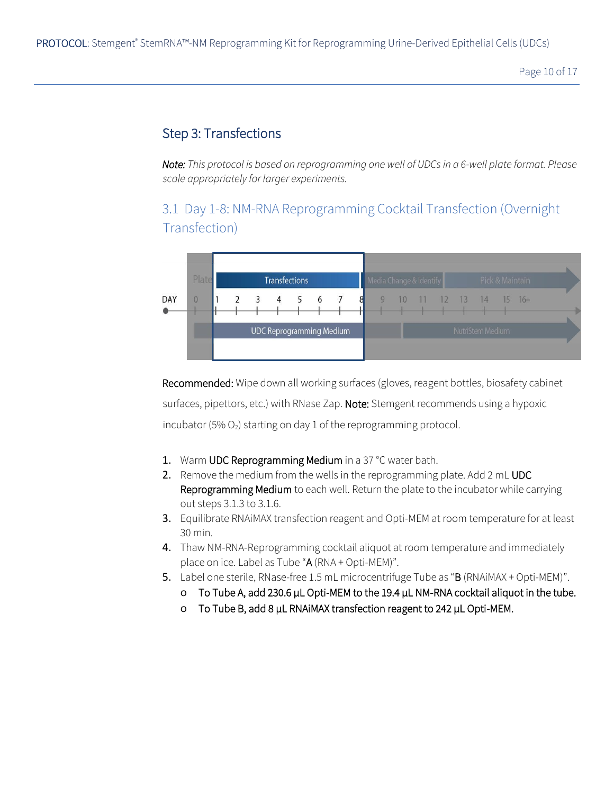Page 10 of 17

#### Step 3: Transfections

*Note: This protocol is based on reprogramming one well of UDCs in a 6-well plate format. Please scale appropriately for larger experiments.* 

3.1 Day 1-8: NM-RNA Reprogramming Cocktail Transfection (Overnight Transfection)



Recommended: Wipe down all working surfaces (gloves, reagent bottles, biosafety cabinet surfaces, pipettors, etc.) with RNase Zap. Note: Stemgent recommends using a hypoxic incubator (5%  $O_2$ ) starting on day 1 of the reprogramming protocol.

- 1. Warm UDC Reprogramming Medium in a 37 °C water bath.
- 2. Remove the medium from the wells in the reprogramming plate. Add 2 mL UDC Reprogramming Medium to each well. Return the plate to the incubator while carrying out steps 3.1.3 to 3.1.6.
- 3. Equilibrate RNAiMAX transfection reagent and Opti-MEM at room temperature for at least 30 min.
- 4. Thaw NM-RNA-Reprogramming cocktail aliquot at room temperature and immediately place on ice. Label as Tube "A (RNA + Opti-MEM)".
- 5. Label one sterile, RNase-free 1.5 mL microcentrifuge Tube as "B (RNAiMAX + Opti-MEM)".
	- o To Tube A, add 230.6 µL Opti-MEM to the 19.4 µL NM-RNA cocktail aliquot in the tube.
	- o To Tube B, add 8 μL RNAiMAX transfection reagent to 242 μL Opti-MEM.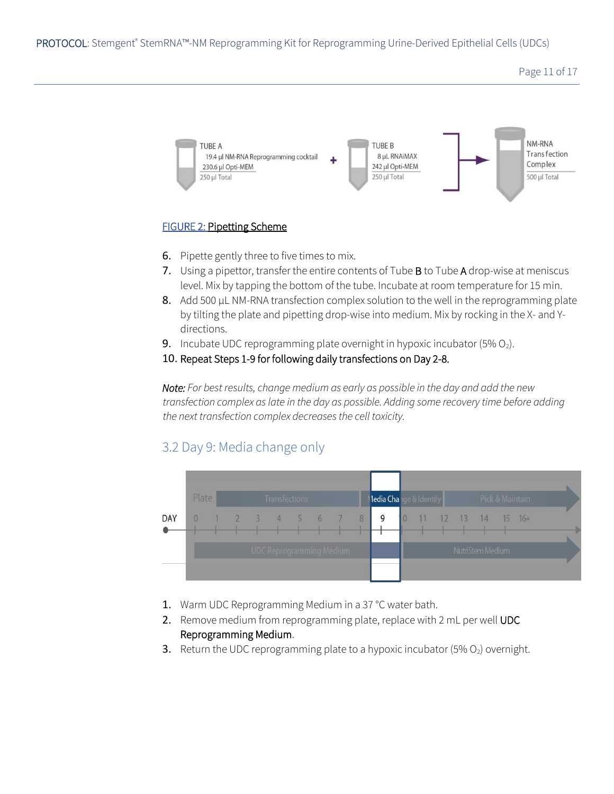Page 11 of 17



#### FIGURE 2: Pipetting Scheme

- 6. Pipette gently three to five times to mix.
- 7. Using a pipettor, transfer the entire contents of Tube B to Tube A drop-wise at meniscus level. Mix by tapping the bottom of the tube. Incubate at room temperature for 15 min.
- 8. Add 500 μL NM-RNA transfection complex solution to the well in the reprogramming plate by tilting the plate and pipetting drop-wise into medium. Mix by rocking in the X- and Ydirections.
- **9.** Incubate UDC reprogramming plate overnight in hypoxic incubator  $(5\% O_2)$ .
- 10. Repeat Steps 1-9 for following daily transfections on Day 2-8.

*Note: For best results, change medium as early as possible in the day and add the new transfection complex as late in the day as possible. Adding some recovery time before adding the next transfection complex decreases the cell toxicity.*

#### 3.2 Day 9: Media change only



- 1. Warm UDC Reprogramming Medium in a 37 °C water bath.
- 2. Remove medium from reprogramming plate, replace with 2 mL per well UDC Reprogramming Medium.
- **3.** Return the UDC reprogramming plate to a hypoxic incubator (5%  $O<sub>2</sub>$ ) overnight.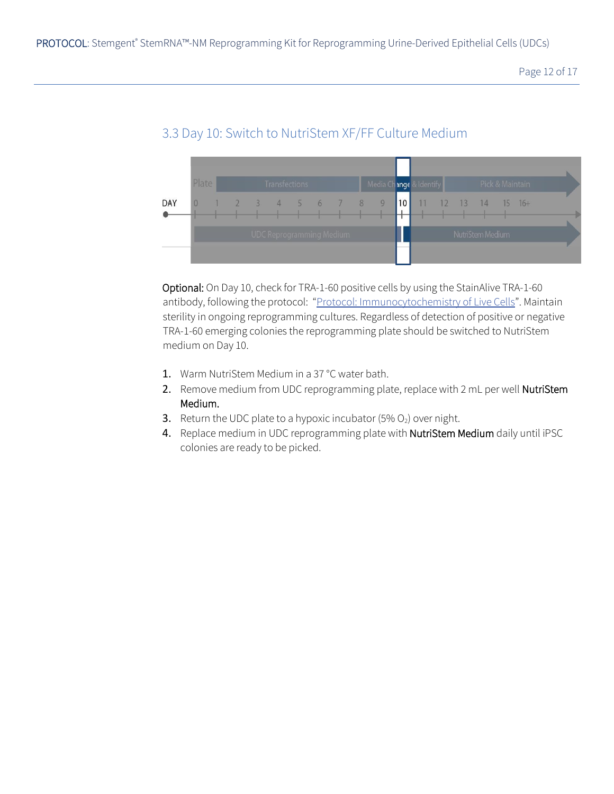

### 3.3 Day 10: Switch to NutriStem XF/FF Culture Medium

Optional: On Day 10, check for TRA-1-60 positive cells by using the StainAlive TRA-1-60 antibody, following the protocol: ["](http://assets.stemgent.com/files/514/original/GP_ICCLive_V1.pdf)[Protocol: Immunocytochemistry of](http://assets.stemgent.com/files/514/original/GP_ICCLive_V1.pdf) Live Cells". Maintain sterility in ongoing reprogramming cultures. Regardless of detection of positive or negative TRA-1-60 emerging colonies the reprogramming plate should be switched to NutriStem medium on Day 10.

- 1. Warm NutriStem Medium in a 37 °C water bath.
- 2. Remove medium from UDC reprogramming plate, replace with 2 mL per well NutriStem Medium.
- **3.** Return the UDC plate to a hypoxic incubator  $(5\% O_2)$  over night.
- 4. Replace medium in UDC reprogramming plate with NutriStem Medium daily until iPSC colonies are ready to be picked.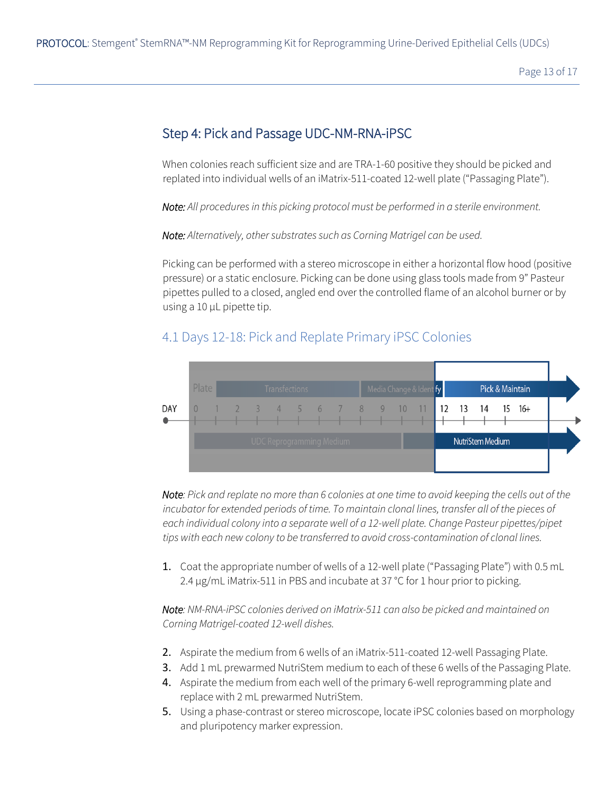Page 13 of 17

#### Step 4: Pick and Passage UDC-NM-RNA-iPSC

When colonies reach sufficient size and are TRA-1-60 positive they should be picked and replated into individual wells of an iMatrix-511-coated 12-well plate ("Passaging Plate").

*Note: All procedures in this picking protocol must be performed in a sterile environment.*

*Note: Alternatively, other substrates such as Corning Matrigel can be used.*

Picking can be performed with a stereo microscope in either a horizontal flow hood (positive pressure) or a static enclosure. Picking can be done using glass tools made from 9" Pasteur pipettes pulled to a closed, angled end over the controlled flame of an alcohol burner or by using a 10 µL pipette tip.

#### 4.1 Days 12-18: Pick and Replate Primary iPSC Colonies



*Note: Pick and replate no more than 6 colonies at one time to avoid keeping the cells out of the incubator for extended periods of time. To maintain clonal lines, transfer all of the pieces of each individual colony into a separate well of a 12-well plate. Change Pasteur pipettes/pipet tips with each new colony to be transferred to avoid cross-contamination of clonal lines.* 

1. Coat the appropriate number of wells of a 12-well plate ("Passaging Plate") with 0.5 mL 2.4 µg/mL iMatrix-511 in PBS and incubate at 37 °C for 1 hour prior to picking.

*Note: NM-RNA-iPSC colonies derived on iMatrix-511 can also be picked and maintained on Corning Matrigel-coated 12-well dishes.*

- 2. Aspirate the medium from 6 wells of an iMatrix-511-coated 12-well Passaging Plate.
- 3. Add 1 mL prewarmed NutriStem medium to each of these 6 wells of the Passaging Plate.
- 4. Aspirate the medium from each well of the primary 6-well reprogramming plate and replace with 2 mL prewarmed NutriStem.
- 5. Using a phase-contrast or stereo microscope, locate iPSC colonies based on morphology and pluripotency marker expression.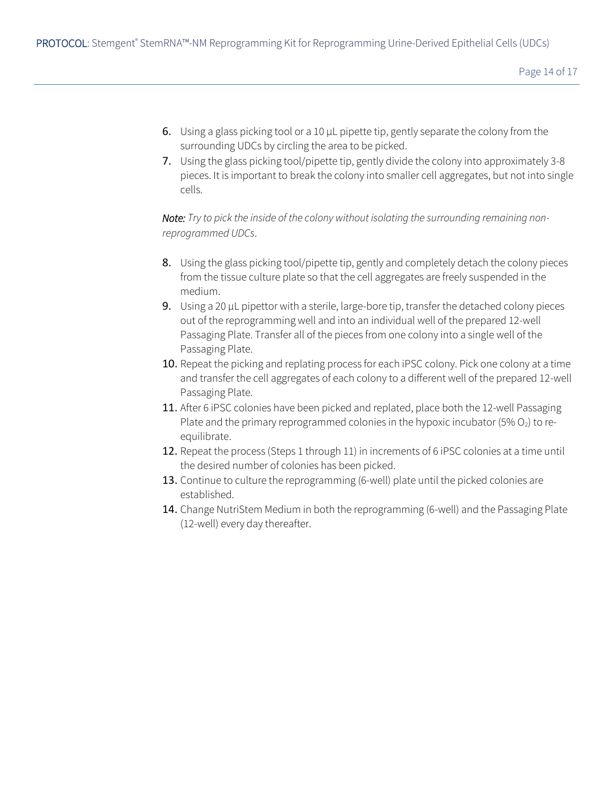- 6. Using a glass picking tool or a 10 µL pipette tip, gently separate the colony from the surrounding UDCs by circling the area to be picked.
- 7. Using the glass picking tool/pipette tip, gently divide the colony into approximately 3-8 pieces. It is important to break the colony into smaller cell aggregates, but not into single cells.

*Note: Try to pick the inside of the colony without isolating the surrounding remaining nonreprogrammed UDCs*.

- 8. Using the glass picking tool/pipette tip, gently and completely detach the colony pieces from the tissue culture plate so that the cell aggregates are freely suspended in the medium.
- 9. Using a 20 µL pipettor with a sterile, large-bore tip, transfer the detached colony pieces out of the reprogramming well and into an individual well of the prepared 12-well Passaging Plate. Transfer all of the pieces from one colony into a single well of the Passaging Plate.
- 10. Repeat the picking and replating process for each iPSC colony. Pick one colony at a time and transfer the cell aggregates of each colony to a different well of the prepared 12-well Passaging Plate.
- 11. After 6 iPSC colonies have been picked and replated, place both the 12-well Passaging Plate and the primary reprogrammed colonies in the hypoxic incubator (5%  $O<sub>2</sub>$ ) to reequilibrate.
- 12. Repeat the process (Steps 1 through 11) in increments of 6 iPSC colonies at a time until the desired number of colonies has been picked.
- 13. Continue to culture the reprogramming (6-well) plate until the picked colonies are established.
- 14. Change NutriStem Medium in both the reprogramming (6-well) and the Passaging Plate (12-well) every day thereafter.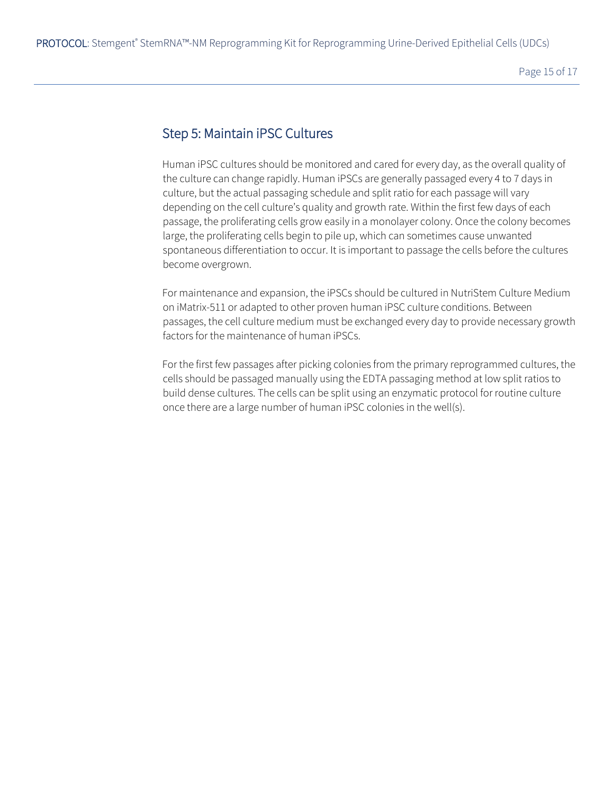#### Step 5: Maintain iPSC Cultures

Human iPSC cultures should be monitored and cared for every day, as the overall quality of the culture can change rapidly. Human iPSCs are generally passaged every 4 to 7 days in culture, but the actual passaging schedule and split ratio for each passage will vary depending on the cell culture's quality and growth rate. Within the first few days of each passage, the proliferating cells grow easily in a monolayer colony. Once the colony becomes large, the proliferating cells begin to pile up, which can sometimes cause unwanted spontaneous differentiation to occur. It is important to passage the cells before the cultures become overgrown.

For maintenance and expansion, the iPSCs should be cultured in NutriStem Culture Medium on iMatrix-511 or adapted to other proven human iPSC culture conditions. Between passages, the cell culture medium must be exchanged every day to provide necessary growth factors for the maintenance of human iPSCs.

For the first few passages after picking colonies from the primary reprogrammed cultures, the cells should be passaged manually using the EDTA passaging method at low split ratios to build dense cultures. The cells can be split using an enzymatic protocol for routine culture once there are a large number of human iPSC colonies in the well(s).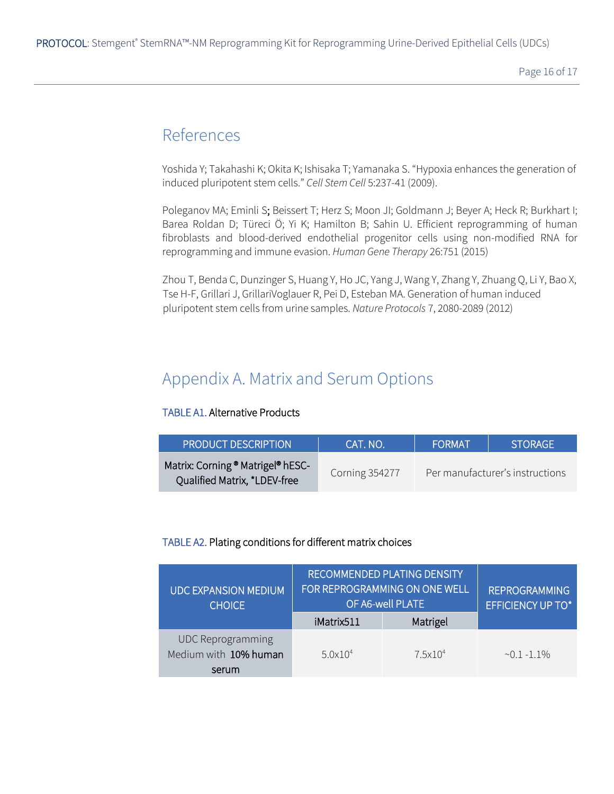Page 16 of 17

# References

Yoshida Y; Takahashi K; Okita K; Ishisaka T; Yamanaka S. "Hypoxia enhances the generation of induced pluripotent stem cells." *Cell Stem Cell* 5:237-41 (2009).

Poleganov MA; Eminli S; Beissert T; Herz S; Moon JI; Goldmann J; Beyer A; Heck R; Burkhart I; Barea Roldan D; Türeci Ö; Yi K; Hamilton B; Sahin U. Efficient reprogramming of human fibroblasts and blood-derived endothelial progenitor cells using non-modified RNA for reprogramming and immune evasion. *Human Gene Therapy* 26:751 (2015)

Zhou T, Benda C, Dunzinger S, Huang Y, Ho JC, Yang J, Wang Y, Zhang Y, Zhuang Q, Li Y, Bao X, Tse H-F, Grillari J, GrillariVoglauer R, Pei D, Esteban MA. Generation of human induced pluripotent stem cells from urine samples. *Nature Protocols* 7, 2080-2089 (2012)

# Appendix A. Matrix and Serum Options

#### TABLE A1. Alternative Products

| <b>PRODUCT DESCRIPTION</b>                                        | CAT. NO.              | <b>FORMAT</b> | <b>STORAGE</b>                  |
|-------------------------------------------------------------------|-----------------------|---------------|---------------------------------|
| Matrix: Corning ® Matrigel® hESC-<br>Qualified Matrix, *LDEV-free | <b>Corning 354277</b> |               | Per manufacturer's instructions |

#### TABLE A2. Plating conditions for different matrix choices

| <b>UDC EXPANSION MEDIUM</b><br><b>CHOICE</b>               | RECOMMENDED PLATING DENSITY<br>FOR REPROGRAMMING ON ONE WELL<br>OF A6-well PLATE<br>Matrigel<br>iMatrix511 |                   | <b>REPROGRAMMING</b><br>EFFICIENCY UP TO* |
|------------------------------------------------------------|------------------------------------------------------------------------------------------------------------|-------------------|-------------------------------------------|
| <b>UDC Reprogramming</b><br>Medium with 10% human<br>serum | 5.0x10 <sup>4</sup>                                                                                        | $7.5 \times 10^4$ | $~1 - 1.1\%$                              |